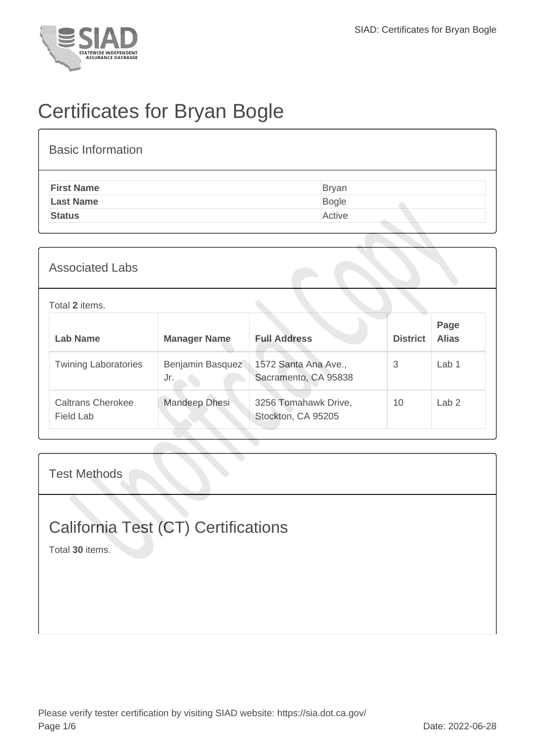

# Certificates for Bryan Bogle

| <b>Basic Information</b> |              |
|--------------------------|--------------|
| <b>First Name</b>        | <b>Bryan</b> |
| <b>Last Name</b>         | Bogle        |
| <b>Status</b>            | Active       |
|                          |              |

#### Associated Labs

| Total 2 items.                        |                         |                                              |                 |                      |
|---------------------------------------|-------------------------|----------------------------------------------|-----------------|----------------------|
| Lab Name                              | <b>Manager Name</b>     | <b>Full Address</b>                          | <b>District</b> | Page<br><b>Alias</b> |
| <b>Twining Laboratories</b>           | Benjamin Basquez<br>Jr. | 1572 Santa Ana Ave.,<br>Sacramento, CA 95838 | 3               | Lab 1                |
| <b>Caltrans Cherokee</b><br>Field Lab | Mandeep Dhesi           | 3256 Tomahawk Drive,<br>Stockton, CA 95205   | 10              | Lab 2                |

#### Test Methods

## California Test (CT) Certifications

Total **30** items.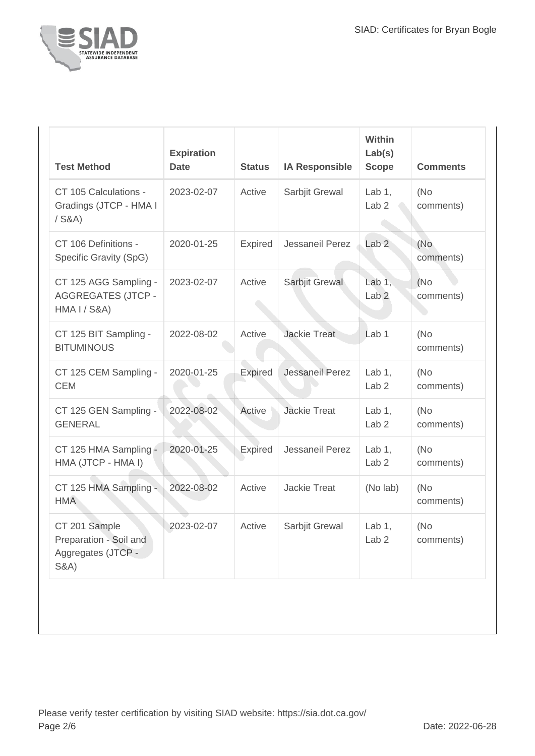

| <b>Test Method</b>                                                               | <b>Expiration</b><br><b>Date</b> | <b>Status</b>  | <b>IA Responsible</b> | <b>Within</b><br>Lab(s)<br><b>Scope</b> | <b>Comments</b>   |
|----------------------------------------------------------------------------------|----------------------------------|----------------|-----------------------|-----------------------------------------|-------------------|
| CT 105 Calculations -<br>Gradings (JTCP - HMA I<br>$/$ S&A)                      | 2023-02-07                       | Active         | Sarbjit Grewal        | Lab $1$ ,<br>Lab <sub>2</sub>           | (No)<br>comments) |
| CT 106 Definitions -<br>Specific Gravity (SpG)                                   | 2020-01-25                       | Expired        | Jessaneil Perez       | Lab <sub>2</sub>                        | (No<br>comments)  |
| CT 125 AGG Sampling -<br><b>AGGREGATES (JTCP -</b><br>HMA I / S&A)               | 2023-02-07                       | Active         | Sarbjit Grewal        | Lab $1,$<br>Lab <sub>2</sub>            | (No<br>comments)  |
| CT 125 BIT Sampling -<br><b>BITUMINOUS</b>                                       | 2022-08-02                       | Active         | <b>Jackie Treat</b>   | Lab <sub>1</sub>                        | (No<br>comments)  |
| CT 125 CEM Sampling -<br><b>CEM</b>                                              | 2020-01-25                       | <b>Expired</b> | Jessaneil Perez       | Lab $1,$<br>Lab <sub>2</sub>            | (No)<br>comments) |
| CT 125 GEN Sampling -<br><b>GENERAL</b>                                          | 2022-08-02                       | Active         | <b>Jackie Treat</b>   | Lab $1$ ,<br>Lab <sub>2</sub>           | (No<br>comments)  |
| CT 125 HMA Sampling -<br>HMA (JTCP - HMA I)                                      | 2020-01-25                       | <b>Expired</b> | Jessaneil Perez       | Lab $1$ ,<br>Lab <sub>2</sub>           | (No)<br>comments) |
| CT 125 HMA Sampling -<br><b>HMA</b>                                              | 2022-08-02                       | Active         | <b>Jackie Treat</b>   | (No lab)                                | (No<br>comments)  |
| CT 201 Sample<br>Preparation - Soil and<br>Aggregates (JTCP -<br><b>S&amp;A)</b> | 2023-02-07                       | Active         | Sarbjit Grewal        | Lab $1$ ,<br>Lab <sub>2</sub>           | (No<br>comments)  |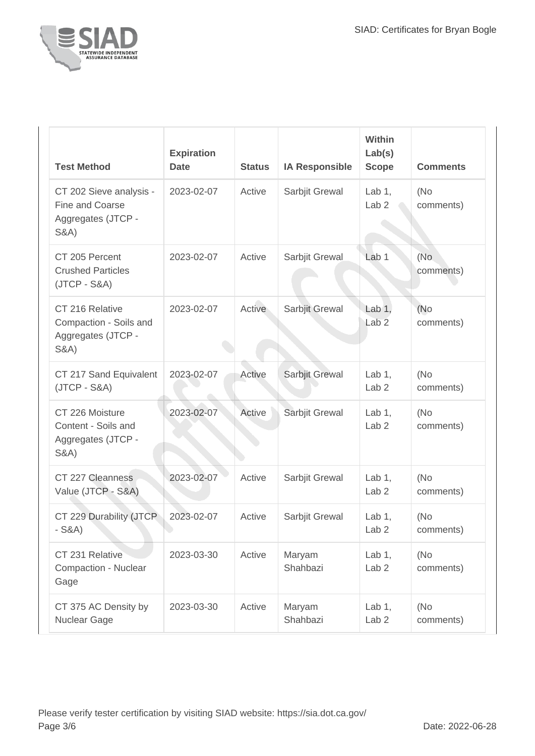

| <b>Test Method</b>                                                                  | <b>Expiration</b><br><b>Date</b> | <b>Status</b> | <b>IA Responsible</b> | Within<br>Lab(s)<br><b>Scope</b> | <b>Comments</b>   |
|-------------------------------------------------------------------------------------|----------------------------------|---------------|-----------------------|----------------------------------|-------------------|
| CT 202 Sieve analysis -<br>Fine and Coarse<br>Aggregates (JTCP -<br><b>S&amp;A)</b> | 2023-02-07                       | Active        | Sarbjit Grewal        | Lab $1,$<br>Lab <sub>2</sub>     | (No)<br>comments) |
| CT 205 Percent<br><b>Crushed Particles</b><br>$(JTCP - S&A)$                        | 2023-02-07                       | Active        | Sarbjit Grewal        | Lab <sub>1</sub>                 | (No<br>comments)  |
| CT 216 Relative<br>Compaction - Soils and<br>Aggregates (JTCP -<br><b>S&amp;A)</b>  | 2023-02-07                       | Active        | Sarbjit Grewal        | Lab $1,$<br>Lab <sub>2</sub>     | (No<br>comments)  |
| CT 217 Sand Equivalent<br>$(JTCP - S&A)$                                            | 2023-02-07                       | Active        | Sarbjit Grewal        | Lab $1$ ,<br>Lab <sub>2</sub>    | (No)<br>comments) |
| CT 226 Moisture<br>Content - Soils and<br>Aggregates (JTCP -<br><b>S&amp;A</b> )    | 2023-02-07                       | Active        | Sarbjit Grewal        | Lab $1$ ,<br>Lab <sub>2</sub>    | (No)<br>comments) |
| CT 227 Cleanness<br>Value (JTCP - S&A)                                              | 2023-02-07                       | Active        | Sarbjit Grewal        | Lab $1$ ,<br>Lab <sub>2</sub>    | (No)<br>comments) |
| CT 229 Durability (JTCP<br>S&A)                                                     | 2023-02-07                       | Active        | Sarbjit Grewal        | Lab $1,$<br>Lab <sub>2</sub>     | (No)<br>comments) |
| CT 231 Relative<br>Compaction - Nuclear<br>Gage                                     | 2023-03-30                       | Active        | Maryam<br>Shahbazi    | Lab $1$ ,<br>Lab <sub>2</sub>    | (No)<br>comments) |
| CT 375 AC Density by<br>Nuclear Gage                                                | 2023-03-30                       | Active        | Maryam<br>Shahbazi    | Lab $1,$<br>Lab <sub>2</sub>     | (No)<br>comments) |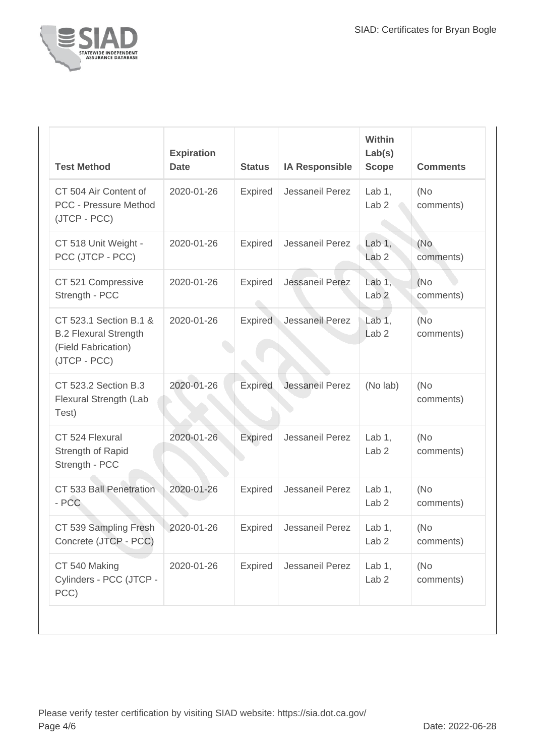

| <b>Test Method</b>                                                                            | <b>Expiration</b><br><b>Date</b> | <b>Status</b>  | <b>IA Responsible</b>  | <b>Within</b><br>Lab(s)<br><b>Scope</b> | <b>Comments</b>   |
|-----------------------------------------------------------------------------------------------|----------------------------------|----------------|------------------------|-----------------------------------------|-------------------|
| CT 504 Air Content of<br><b>PCC - Pressure Method</b><br>(JTCP - PCC)                         | 2020-01-26                       | Expired        | Jessaneil Perez        | Lab $1,$<br>Lab <sub>2</sub>            | (No)<br>comments) |
| CT 518 Unit Weight -<br>PCC (JTCP - PCC)                                                      | 2020-01-26                       | <b>Expired</b> | Jessaneil Perez        | Lab $1,$<br>Lab <sub>2</sub>            | (No<br>comments)  |
| CT 521 Compressive<br>Strength - PCC                                                          | 2020-01-26                       | Expired        | <b>Jessaneil Perez</b> | Lab $1,$<br>Lab <sub>2</sub>            | (No)<br>comments) |
| CT 523.1 Section B.1 &<br><b>B.2 Flexural Strength</b><br>(Field Fabrication)<br>(JTCP - PCC) | 2020-01-26                       | <b>Expired</b> | Jessaneil Perez        | Lab $1,$<br>Lab <sub>2</sub>            | (No)<br>comments) |
| CT 523.2 Section B.3<br>Flexural Strength (Lab<br>Test)                                       | 2020-01-26                       | <b>Expired</b> | Jessaneil Perez        | (No lab)                                | (No)<br>comments) |
| CT 524 Flexural<br>Strength of Rapid<br>Strength - PCC                                        | 2020-01-26                       | <b>Expired</b> | Jessaneil Perez        | Lab $1$ ,<br>Lab <sub>2</sub>           | (No)<br>comments) |
| CT 533 Ball Penetration<br>- PCC                                                              | 2020-01-26                       | Expired        | Jessaneil Perez        | Lab $1$ ,<br>Lab <sub>2</sub>           | (No<br>comments)  |
| CT 539 Sampling Fresh<br>Concrete (JTCP - PCC)                                                | 2020-01-26                       | Expired        | Jessaneil Perez        | Lab $1,$<br>Lab <sub>2</sub>            | (No<br>comments)  |
| CT 540 Making<br>Cylinders - PCC (JTCP -<br>PCC)                                              | 2020-01-26                       | Expired        | Jessaneil Perez        | Lab $1,$<br>Lab <sub>2</sub>            | (No)<br>comments) |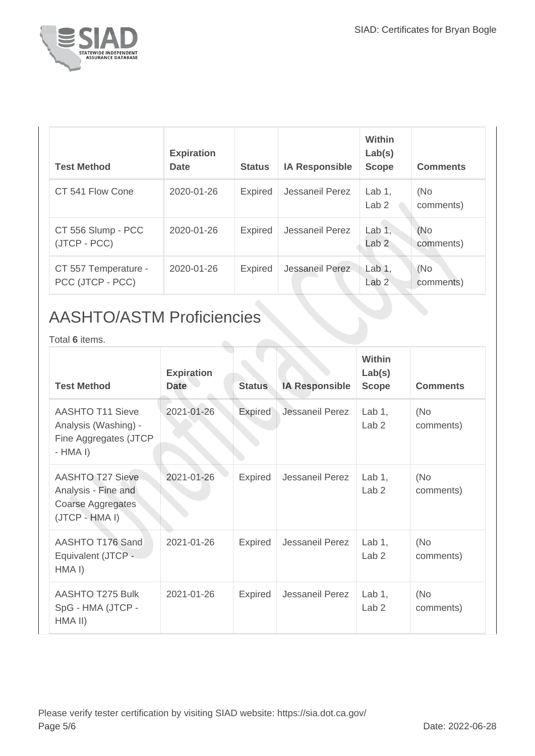

| <b>Test Method</b>                       | <b>Expiration</b><br><b>Date</b> | <b>Status</b>  | <b>IA Responsible</b> | <b>Within</b><br>Lab(s)<br><b>Scope</b> | <b>Comments</b>  |
|------------------------------------------|----------------------------------|----------------|-----------------------|-----------------------------------------|------------------|
| CT 541 Flow Cone                         | 2020-01-26                       | <b>Expired</b> | Jessaneil Perez       | Lab $1$ ,<br>Lab <sub>2</sub>           | (No<br>comments) |
| CT 556 Slump - PCC<br>(JTCP - PCC)       | 2020-01-26                       | <b>Expired</b> | Jessaneil Perez       | Lab $1,$<br>Lab <sub>2</sub>            | (No<br>comments) |
| CT 557 Temperature -<br>PCC (JTCP - PCC) | 2020-01-26                       | <b>Expired</b> | Jessaneil Perez       | Lab 1,<br>Lab <sub>2</sub>              | (No<br>comments) |

### AASHTO/ASTM Proficiencies

Total **6** items.

| <b>Test Method</b>                                                                    | <b>Expiration</b><br><b>Date</b> | <b>Status</b>  | <b>IA Responsible</b>  | <b>Within</b><br>Lab(s)<br><b>Scope</b> | <b>Comments</b>  |
|---------------------------------------------------------------------------------------|----------------------------------|----------------|------------------------|-----------------------------------------|------------------|
| <b>AASHTO T11 Sieve</b><br>Analysis (Washing) -<br>Fine Aggregates (JTCP<br>$-HMA I)$ | 2021-01-26                       | <b>Expired</b> | <b>Jessaneil Perez</b> | Lab $1,$<br>Lab <sub>2</sub>            | (No<br>comments) |
| <b>AASHTO T27 Sieve</b><br>Analysis - Fine and<br>Coarse Aggregates<br>(JTCP - HMA I) | 2021-01-26                       | Expired        | Jessaneil Perez        | Lab $1,$<br>Lab <sub>2</sub>            | (No<br>comments) |
| AASHTO T176 Sand<br>Equivalent (JTCP -<br>HMA I)                                      | 2021-01-26                       | <b>Expired</b> | Jessaneil Perez        | Lab $1$ ,<br>Lab <sub>2</sub>           | (No<br>comments) |
| AASHTO T275 Bulk<br>SpG - HMA (JTCP -<br>HMA II)                                      | 2021-01-26                       | <b>Expired</b> | Jessaneil Perez        | Lab $1,$<br>Lab <sub>2</sub>            | (No<br>comments) |